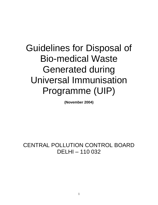# Guidelines for Disposal of Bio-medical Waste Generated during Universal Immunisation Programme (UIP)

**(November 2004)**

CENTRAL POLLUTION CONTROL BOARD DELHI – 110 032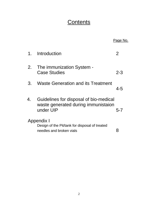# **Contents**

|    |                                                                                            | Page No. |
|----|--------------------------------------------------------------------------------------------|----------|
|    | 1. Introduction                                                                            | 2        |
| 2. | The immunization System -<br><b>Case Studies</b>                                           | $2 - 3$  |
| 3. | Waste Generation and its Treatment                                                         | 4-5      |
| 4. | Guidelines for disposal of bio-medical<br>waste generated during immunistaion<br>under UIP | $5 - 7$  |
|    | Appendix I<br>Design of the Pit/tank for disposal of treated<br>needles and broken vials   | 8        |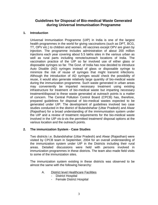# **Guidelines for Disposal of Bio-medical Waste Generated during Universal Immunisation Programme**

# **1. Introduction**

Universal Immunisation Programme (UIP) in India is one of the largest health programmes in the world for giving vaccinations (such as DPT, BCG, TT, OPV etc.) to children and women. All vaccines except OPV are given by injection. The programme includes administration of about 200 million injections each year covering about 5.5 lakhs sites in the various urban as well as rural parts including remote/outreach locations of India. The vaccination practice of the UIP so far involved use of either glass or disposable syringes so far. The Govt. of India has now decided to introduce Auto Disable (AD) syringes instead of glass or disposable syringe to minimize the risk of reuse of syringes that might transmit infections. Although the introduction of AD syringes would check the possibility of reuse, it would also generate relatively large quantity of bio-medical waste during the immunization programme. Such waste generated in urban areas may conveniently be imparted necessary treatment using existing infrastructure for treatment of bio-medical waste but imparting necessary treatment/disposal to these waste generated at outreach points is a matter of concern. The Central Pollution Control Board (CPCB) has, therefore, prepared guidelines for disposal of bio-medical wastes expected to be generated under UIP. The development of guidelines involved two case studies conducted in the district of Bulandshahar (Uttar Pradesh) and Alwar (Rajasthan) for a broad understanding of the immmunisation system under the UIP and a review of treatment requirements for the bio-medical waste involved in the UIP vis-à-vis the permitted treatment/ disposal options at the various location and the outreach points.

# **2. The immunization System - Case Studies**

Two districts i.e. Bulandshahar (Uttar Pradesh) and Alwar (Rajasthan) were visited by CPCB team in September, 2004 for an overall understanding of the immunization system under UIP in the Districts including their rural areas. Detailed discussions were held with persons involved in immunization programmes in these districts. The team also made field visits to some of the immunization sites.

The immunization system existing in these districts was observed to be almost the same with the following hierarchy:

- A. District level Healthcare Facilities
	- District Hospital
	- Female District Hospital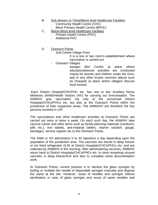- B. Sub-division or Tehsil/Block level Healthcare Facilities
	- Community Health Centre (CHC)
	- Block Primary Health Centre (BPHC)
- C. Below Block level Healthcare Facilities
	- Primary Health Centre (PHC)
	- Additional PHC
- D. Outreach Points
	- Sub-Centre Village Point

It is a one or two room's establishment where vaccination is carried out

- Outreach Villages

*Aangan Bari* Centre (a place where educational/social activities are conducted mainly for women and children under the Govt. aid) or any other known common places such as *chaupals* (a place where villagers discuss local issues)

Each District Hospital/CHC/PHC etc. has one or two Auxiliary Nurse Midwives (ANM)/Health Visitors (HV) for carrying out immunisation. The ANM/HV give vaccination not only at the concerned District Hospitals/CHCs/PHCs etc. but also at the Outreach Points within the jurisdiction of their respective areas. The ANMs/HV are therefore the key persons involved in UIP.

The vaccinations and other healthcare activities at Outreach Points are carried out once or twice a week. On each such day, the ANM/HV take vaccine carrier and other items such as family planning materials (condoms, pills etc.), iron tablets, anti-malarial tablets, vitamin solution, gauge, bandages, service register etc to the Outreach Points.

The ANM or HV administers 5 to 40 injections a day depending upon the population of the jurisdiction area. The vaccines are stored in deep freezer or Ice lined refrigerator (ILR) at District Hospitals/CHCs/PHCs etc. and are collected by ANM/HV in the morning. After administering vaccines, ANM/HV return back to District Hospitals/CHCs/PHCs etc. to store remaining unused vaccines in deep freezer/ILR and also to complete some documentation work.

At Outreach Points, current practice is to sterilize the glass syringes by boiling or mutilate the needle of disposable syringes manually and dispose the same at the site. However, reuse of needles and syringes without sterilization in case of glass syringes and reuse of same needles and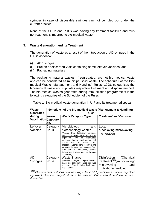syringes in case of disposable syringes can not be ruled out under the current practice.

None of the CHCs and PHCs was having any treatment facilities and thus no treatment is imparted to bio-medical waste.

#### **3. Waste Generation and its Treatment**

The generation of waste as a result of the introduction of AD syringes in the UIP is as follow:

- (i) AD Syringes
- (ii) Broken or discarded Vials containing some leftover vaccines, and
- (iii) Packaging materials

The packaging material wastes, if segregated, are not bio-medical waste and can be considered as municipal solid waste. The schedule I of the Biomedical Waste (Management and Handling) Rules, 1998, categorises the bio-medical waste and stipulates respective treatment and disposal method. The bio-medical wastes generated during immunization programme fit in the following categories of the Schedule I of the Rules:

| Waste<br>Generated             | Schedule I of the Bio-medical Waste (Management & Handling)<br><b>Rules</b> |                                                                                                                                                                                                                                                                                                                                                                                                     |                                                                                      |  |
|--------------------------------|-----------------------------------------------------------------------------|-----------------------------------------------------------------------------------------------------------------------------------------------------------------------------------------------------------------------------------------------------------------------------------------------------------------------------------------------------------------------------------------------------|--------------------------------------------------------------------------------------|--|
| during<br>Vaccination Category | Waste<br>No.                                                                | <b>Waste Category Type</b>                                                                                                                                                                                                                                                                                                                                                                          | <b>Treatment and Disposal</b>                                                        |  |
| Leftover                       | Category                                                                    | Microbiology<br>and                                                                                                                                                                                                                                                                                                                                                                                 | Local                                                                                |  |
| Vaccine                        | No. 3                                                                       | biotechnology wastes<br>(Wastes from laboratory cultures,<br>stocks or specimens of micro-<br>live<br>organisms<br>attenuated<br>or<br>vaccines, human and animal<br>cell<br>used<br>in.<br>culture<br>research<br>and<br>infectious agents from research and<br>industrial laboratories, wastes from<br>production of biologicals, toxins,<br>dishes and devices used for transfer<br>of cultures) | autoclaving/microwaving/<br>incineration                                             |  |
| AD                             | Category                                                                    | <b>Waste Sharps</b>                                                                                                                                                                                                                                                                                                                                                                                 | Disinfection<br>(Chemical                                                            |  |
| <b>Syringes</b>                | No. 4                                                                       | (Needles, syringes, scalpels, blades,<br>glass etc. that may cause puncture<br>and cuts. This includes both used<br>and unused)                                                                                                                                                                                                                                                                     | treatment <sup>@@</sup> )/autoclaving/<br>microwaving<br>and<br>mutilation/shredding |  |

Table-1: Bio-medical waste generation in UIP and its treatment/disposal

@@*Chemical treatment shall be done using at least 1% hypochlorite solution or any other equivalent chemical reagent. It must be ensured that chemical treatment ensures disinfection.*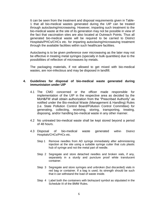It can be seen from the treatment and disposal requirements given in Table-1 that all bio-medical wastes generated during the UIP can be treated through autoclaving/microwaving. However, imparting such treatment to the bio-medical waste at the site of its generation may not be possible in view of the fact that vaccination sites are also located at Outreach Points. Thus all generated bio-medical waste will be required to be carried to District Hospitals/PHCs/CHCs etc. for imparting autoclaving/microwaving treatment through the available facilities within such healthcare facilities.

Autoclaving is to be given preference over microwaving as the later may not be effective in treating metal syringes (specially in bulk quantities) due to the possibilities of reflection of microwaves by metals.

The packaging materials, if not allowed to get mixed with bio-medical wastes, are non-infectious and may be disposed in landfill.

#### **4. Guidelines for disposal of bio-medical waste generated during immunistaion under UIP**

- 4.1 The CMO concerned or the officer made responsible for implementation of the UIP in the respective area as decided by the MoH&FW shall obtain authorization from the "Prescribed Authority" as notified under the Bio-medical Waste (Management & Handling) Rules (i.e. State Pollution Control Board/Pollution Control Committee) for generating, collecting, receiving, storing, transporting, treating, disposing, and/or handling bio-medical waste in any other manner.
- 4.2 No untreated bio-medical waste shall be kept stored beyond a period of 48 hours.
- 4.3 Disposal of bio-medical waste generated within District Hospitals/CHCs/PHCs etc.
	- Step 1 Remove needles from AD syringe immediately after administering injection at the site using a suitable syringe cutter that cuts plastic hub of syringe and not the metal part of needle.
	- Step 2 Segregate and store detached needles and broken vials, if any, separately in a sturdy and puncture proof white translucent container.
	- Step 3 Segregate and store syringes and unbroken (but discarded) vials in red bag or container. If a bag is used, its strength should be such that it can withstand the load of waste inside.
	- Step 4 Label both the containers with biohazard symbol as stipulated in the Schedule III of the BMW Rules.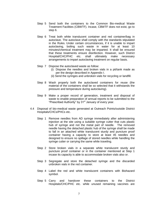- Step 5 Send both the containers to the Common Bio-medical Waste Treatment Facilities (CBWTF). Incase, CBWTF does not exist, go to step 6.
- Step 6 Treat both white translucent container and red container/bag in autoclave. The autoclave shall comply with the standards stipulated in the Rules. Under certain circumstances, if it is unable to impart autoclaving, boiling such waste in water for at least 10 minutes/chemical treatment may be imparted. It shall be ensured that these treatments ensure disinfection. However, such District Hospital/CHC/PHC etc. shall ultimately make necessary arrangements to impart autoclaving treatment on regular basis.
- Step 7 Dispose the autoclaved waste as follow:
	- (i) Dispose the needles and broken vials in a pit/tank made as per the design described in Appendix I.
	- (ii) Send the syringes and unbroken vials for recycling or landfill.
- Step 8 Wash properly both the autoclaved containers for reuse (the material of the containers shall be so selected that it withstands the pressure and temperature during autoclaving).
- Step 9 Make a proper record of generation, treatment and disposal of waste to enable preparation of annual reports to be submitted to the "Prescribed Authority" by  $31<sup>st</sup>$  January of every year.
- 4.4 Disposal of bio-medical waste generated at Outreach Points/outside District Hospitals/CHCs/PHCs etc.
	- Step 1 Remove needles from AD syringe immediately after administering injection at the site using a suitable syringe cutter that cuts plastic hub of syringe and not the metal part of needle. The removed needle having the detached plastic hub of the syringe shall be made to fall in an attached white translucent sturdy and puncture proof container having a capacity to store at least 45 needles and designed to ensure no spillage of stored needles while handling the syringe cutter or carrying the same while traveling.
	- Step 2 Store broken vials in a separate white translucent sturdy and puncture proof container or in the container mentioned at Step 1 incase its capacity is able to accommodate broken vials also or.
	- Step 3 Segregate and store the detached syringe and the discarded unbroken vials in the red container.
	- Step 4 Label the red and white translucent containers with Biohazard symbol.
	- Step 5 Carry and handover these containers to the District Hospitals/CHC/PHC etc. while unused remaining vaccines are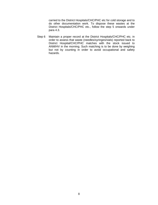carried to the District Hospitals/CHC/PHC etc for cold storage and to do other documentation work. To dispose these wastes at the District Hospitals/CHC/PHC etc., follow the step 5 onwards under para 4.3.

Step 6 Maintain a proper record at the District Hospitals/CHC/PHC etc. in order to assess that waste (needles/syringes/vials) reported back to District Hospital/CHC/PHC matches with the stock issued to ANM/HV in the morning. Such matching is to be done by weighing but not by counting in order to avoid occupational and safety hazards.